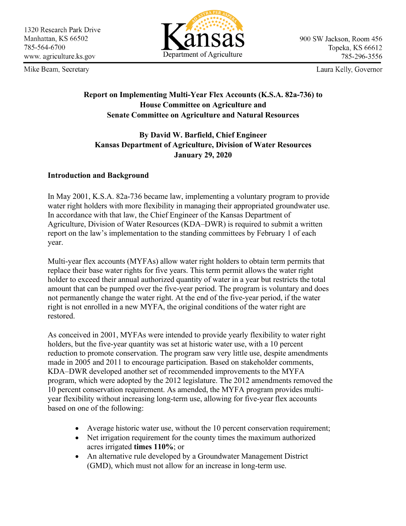Mike Beam, Secretary



900 SW Jackson, Room 456 Topeka, KS 66612 785-296-3556

Laura Kelly, Governor

## **Report on Implementing Multi-Year Flex Accounts (K.S.A. 82a-736) to House Committee on Agriculture and Senate Committee on Agriculture and Natural Resources**

# **By David W. Barfield, Chief Engineer Kansas Department of Agriculture, Division of Water Resources January 29, 2020**

## **Introduction and Background**

In May 2001, K.S.A. 82a-736 became law, implementing a voluntary program to provide water right holders with more flexibility in managing their appropriated groundwater use. In accordance with that law, the Chief Engineer of the Kansas Department of Agriculture, Division of Water Resources (KDA–DWR) is required to submit a written report on the law's implementation to the standing committees by February 1 of each year.

Multi-year flex accounts (MYFAs) allow water right holders to obtain term permits that replace their base water rights for five years. This term permit allows the water right holder to exceed their annual authorized quantity of water in a year but restricts the total amount that can be pumped over the five-year period. The program is voluntary and does not permanently change the water right. At the end of the five-year period, if the water right is not enrolled in a new MYFA, the original conditions of the water right are restored.

As conceived in 2001, MYFAs were intended to provide yearly flexibility to water right holders, but the five-year quantity was set at historic water use, with a 10 percent reduction to promote conservation. The program saw very little use, despite amendments made in 2005 and 2011 to encourage participation. Based on stakeholder comments, KDA–DWR developed another set of recommended improvements to the MYFA program, which were adopted by the 2012 legislature. The 2012 amendments removed the 10 percent conservation requirement. As amended, the MYFA program provides multiyear flexibility without increasing long-term use, allowing for five-year flex accounts based on one of the following:

- Average historic water use, without the 10 percent conservation requirement;
- Net irrigation requirement for the county times the maximum authorized acres irrigated **times 110%**; or
- An alternative rule developed by a Groundwater Management District (GMD), which must not allow for an increase in long-term use.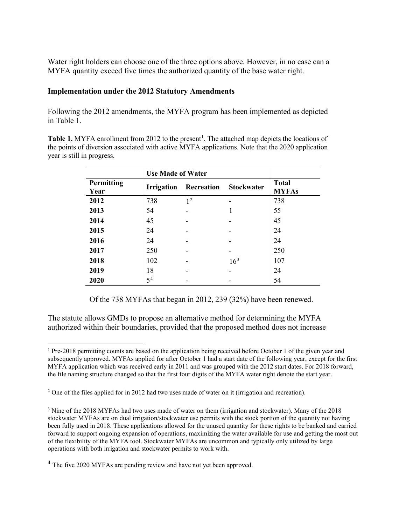Water right holders can choose one of the three options above. However, in no case can a MYFA quantity exceed five times the authorized quantity of the base water right.

#### **Implementation under the 2012 Statutory Amendments**

Following the 2012 amendments, the MYFA program has been implemented as depicted in Table 1.

Table [1](#page-1-0). MYFA enrollment from 2012 to the present<sup>1</sup>. The attached map depicts the locations of the points of diversion associated with active MYFA applications. Note that the 2020 application year is still in progress.

|                    | <b>Use Made of Water</b> |                |                   |                              |
|--------------------|--------------------------|----------------|-------------------|------------------------------|
| Permitting<br>Year | <b>Irrigation</b>        | Recreation     | <b>Stockwater</b> | <b>Total</b><br><b>MYFAs</b> |
| 2012               | 738                      | 1 <sup>2</sup> |                   | 738                          |
| 2013               | 54                       |                |                   | 55                           |
| 2014               | 45                       |                |                   | 45                           |
| 2015               | 24                       |                |                   | 24                           |
| 2016               | 24                       |                |                   | 24                           |
| 2017               | 250                      |                |                   | 250                          |
| 2018               | 102                      |                | $16^{3}$          | 107                          |
| 2019               | 18                       |                |                   | 24                           |
| 2020               | 5 <sup>4</sup>           |                |                   | 54                           |

Of the 738 MYFAs that began in 2012, 239 (32%) have been renewed.

The statute allows GMDs to propose an alternative method for determining the MYFA authorized within their boundaries, provided that the proposed method does not increase

<span id="page-1-0"></span><sup>&</sup>lt;sup>1</sup> Pre-2018 permitting counts are based on the application being received before October 1 of the given year and subsequently approved. MYFAs applied for after October 1 had a start date of the following year, except for the first MYFA application which was received early in 2011 and was grouped with the 2012 start dates. For 2018 forward, the file naming structure changed so that the first four digits of the MYFA water right denote the start year.

<span id="page-1-3"></span><span id="page-1-2"></span><span id="page-1-1"></span><sup>&</sup>lt;sup>2</sup> One of the files applied for in 2012 had two uses made of water on it (irrigation and recreation).

<span id="page-1-4"></span><sup>3</sup> Nine of the 2018 MYFAs had two uses made of water on them (irrigation and stockwater). Many of the 2018 stockwater MYFAs are on dual irrigation/stockwater use permits with the stock portion of the quantity not having been fully used in 2018. These applications allowed for the unused quantity for these rights to be banked and carried forward to support ongoing expansion of operations, maximizing the water available for use and getting the most out of the flexibility of the MYFA tool. Stockwater MYFAs are uncommon and typically only utilized by large operations with both irrigation and stockwater permits to work with.

<span id="page-1-5"></span><sup>&</sup>lt;sup>4</sup> The five 2020 MYFAs are pending review and have not yet been approved.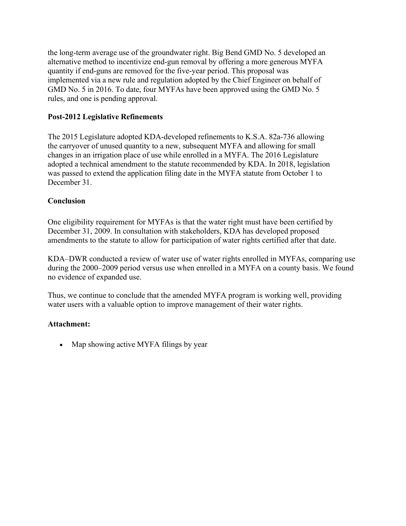the long-term average use of the groundwater right. Big Bend GMD No. 5 developed an alternative method to incentivize end-gun removal by offering a more generous MYFA quantity if end-guns are removed for the five-year period. This proposal was implemented via a new rule and regulation adopted by the Chief Engineer on behalf of GMD No. 5 in 2016. To date, four MYFAs have been approved using the GMD No. 5 rules, and one is pending approval.

### **Post-2012 Legislative Refinements**

The 2015 Legislature adopted KDA-developed refinements to K.S.A. 82a-736 allowing the carryover of unused quantity to a new, subsequent MYFA and allowing for small changes in an irrigation place of use while enrolled in a MYFA. The 2016 Legislature adopted a technical amendment to the statute recommended by KDA. In 2018, legislation was passed to extend the application filing date in the MYFA statute from October 1 to December 31.

### **Conclusion**

One eligibility requirement for MYFAs is that the water right must have been certified by December 31, 2009. In consultation with stakeholders, KDA has developed proposed amendments to the statute to allow for participation of water rights certified after that date.

KDA–DWR conducted a review of water use of water rights enrolled in MYFAs, comparing use during the 2000–2009 period versus use when enrolled in a MYFA on a county basis. We found no evidence of expanded use.

Thus, we continue to conclude that the amended MYFA program is working well, providing water users with a valuable option to improve management of their water rights.

### **Attachment:**

• Map showing active MYFA filings by year